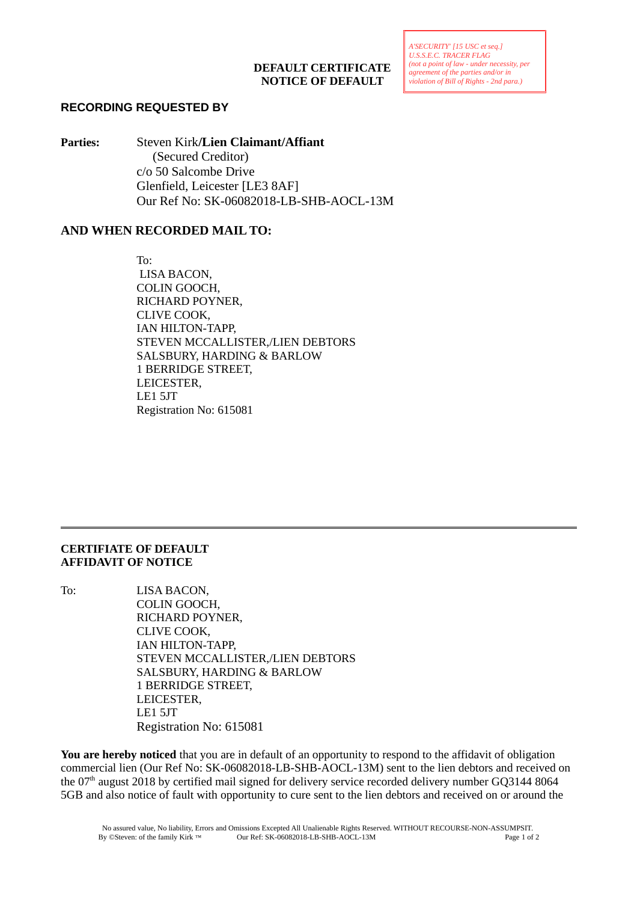## **RECORDING REQUESTED BY**

**Parties:** Steven Kirk**/Lien Claimant/Affiant**  (Secured Creditor) c/o 50 Salcombe Drive Glenfield, Leicester [LE3 8AF] Our Ref No: SK-06082018-LB-SHB-AOCL-13M

## **AND WHEN RECORDED MAIL TO:**

To: LISA BACON, COLIN GOOCH, RICHARD POYNER, CLIVE COOK, IAN HILTON-TAPP, STEVEN MCCALLISTER,/LIEN DEBTORS SALSBURY, HARDING & BARLOW 1 BERRIDGE STREET, LEICESTER, LE1 5JT Registration No: 615081

## **CERTIFIATE OF DEFAULT AFFIDAVIT OF NOTICE**

To: LISA BACON, COLIN GOOCH, RICHARD POYNER, CLIVE COOK, IAN HILTON-TAPP, STEVEN MCCALLISTER,/LIEN DEBTORS SALSBURY, HARDING & BARLOW 1 BERRIDGE STREET, LEICESTER, LE1 5JT Registration No: 615081

**You are hereby noticed** that you are in default of an opportunity to respond to the affidavit of obligation commercial lien (Our Ref No: SK-06082018-LB-SHB-AOCL-13M) sent to the lien debtors and received on the 07<sup>th</sup> august 2018 by certified mail signed for delivery service recorded delivery number GO3144 8064 5GB and also notice of fault with opportunity to cure sent to the lien debtors and received on or around the